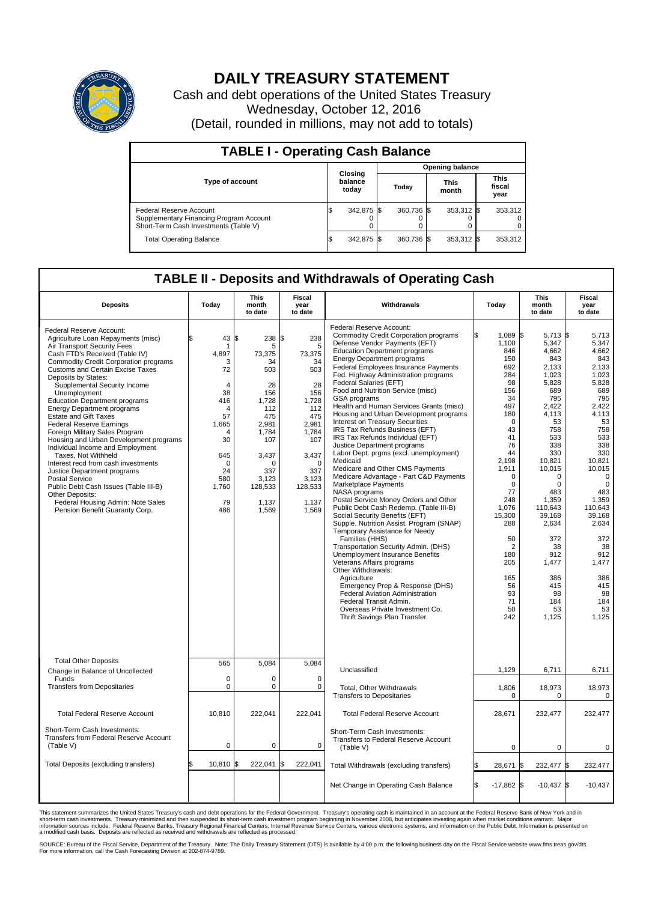

## **DAILY TREASURY STATEMENT**

Cash and debt operations of the United States Treasury Wednesday, October 12, 2016 (Detail, rounded in millions, may not add to totals)

| <b>TABLE I - Operating Cash Balance</b>                                                                     |    |                             |       |            |                      |            |  |                               |  |  |
|-------------------------------------------------------------------------------------------------------------|----|-----------------------------|-------|------------|----------------------|------------|--|-------------------------------|--|--|
|                                                                                                             |    | <b>Opening balance</b>      |       |            |                      |            |  |                               |  |  |
| <b>Type of account</b>                                                                                      |    | Closing<br>balance<br>today | Today |            | <b>This</b><br>month |            |  | <b>This</b><br>fiscal<br>year |  |  |
| Federal Reserve Account<br>Supplementary Financing Program Account<br>Short-Term Cash Investments (Table V) |    | 342,875 \$                  |       | 360.736 \$ |                      | 353,312 \$ |  | 353,312                       |  |  |
| <b>Total Operating Balance</b>                                                                              | ıъ | 342,875 \$                  |       | 360,736 \$ |                      | 353,312 \$ |  | 353,312                       |  |  |

## **TABLE II - Deposits and Withdrawals of Operating Cash**

| <b>Deposits</b>                                                                                                                                                                                                                                                                                                                                                                                                                                                                                                                                                                                                                                                                                                                                                                                                     | Today                                                                                                                                       | This<br>month<br>to date                                                                                                                                                | Fiscal<br>year<br>to date                                                                                                                                      | Withdrawals                                                                                                                                                                                                                                                                                                                                                                                                                                                                                                                                                                                                                                                                                                                                                                                                                                                                                                                                                                                                                                                                                                                                                                                                                                                                                                | Today                                                                                                                                                                                                                                                                            | <b>This</b><br>month<br>to date                                                                                                                                                                                                                                                             | Fiscal<br>year<br>to date                                                                                                                                                                                                                                                                          |
|---------------------------------------------------------------------------------------------------------------------------------------------------------------------------------------------------------------------------------------------------------------------------------------------------------------------------------------------------------------------------------------------------------------------------------------------------------------------------------------------------------------------------------------------------------------------------------------------------------------------------------------------------------------------------------------------------------------------------------------------------------------------------------------------------------------------|---------------------------------------------------------------------------------------------------------------------------------------------|-------------------------------------------------------------------------------------------------------------------------------------------------------------------------|----------------------------------------------------------------------------------------------------------------------------------------------------------------|------------------------------------------------------------------------------------------------------------------------------------------------------------------------------------------------------------------------------------------------------------------------------------------------------------------------------------------------------------------------------------------------------------------------------------------------------------------------------------------------------------------------------------------------------------------------------------------------------------------------------------------------------------------------------------------------------------------------------------------------------------------------------------------------------------------------------------------------------------------------------------------------------------------------------------------------------------------------------------------------------------------------------------------------------------------------------------------------------------------------------------------------------------------------------------------------------------------------------------------------------------------------------------------------------------|----------------------------------------------------------------------------------------------------------------------------------------------------------------------------------------------------------------------------------------------------------------------------------|---------------------------------------------------------------------------------------------------------------------------------------------------------------------------------------------------------------------------------------------------------------------------------------------|----------------------------------------------------------------------------------------------------------------------------------------------------------------------------------------------------------------------------------------------------------------------------------------------------|
| Federal Reserve Account:<br>Agriculture Loan Repayments (misc)<br>Air Transport Security Fees<br>Cash FTD's Received (Table IV)<br><b>Commodity Credit Corporation programs</b><br><b>Customs and Certain Excise Taxes</b><br>Deposits by States:<br>Supplemental Security Income<br>Unemployment<br><b>Education Department programs</b><br><b>Energy Department programs</b><br>Estate and Gift Taxes<br><b>Federal Reserve Earnings</b><br>Foreign Military Sales Program<br>Housing and Urban Development programs<br>Individual Income and Employment<br>Taxes, Not Withheld<br>Interest recd from cash investments<br>Justice Department programs<br><b>Postal Service</b><br>Public Debt Cash Issues (Table III-B)<br>Other Deposits:<br>Federal Housing Admin: Note Sales<br>Pension Benefit Guaranty Corp. | 43<br>\$.<br>1<br>4,897<br>3<br>72<br>4<br>38<br>416<br>$\Delta$<br>57<br>1,665<br>30<br>645<br>$\Omega$<br>24<br>580<br>1,760<br>79<br>486 | \$<br>238 \$<br>5<br>73,375<br>34<br>503<br>28<br>156<br>1,728<br>112<br>475<br>2,981<br>1,784<br>107<br>3,437<br>$\Omega$<br>337<br>3,123<br>128,533<br>1,137<br>1,569 | 238<br>5<br>73,375<br>34<br>503<br>28<br>156<br>1,728<br>112<br>475<br>2,981<br>1,784<br>107<br>3,437<br>$\Omega$<br>337<br>3,123<br>128,533<br>1,137<br>1,569 | Federal Reserve Account:<br><b>Commodity Credit Corporation programs</b><br>Defense Vendor Payments (EFT)<br><b>Education Department programs</b><br><b>Energy Department programs</b><br><b>Federal Employees Insurance Payments</b><br>Fed. Highway Administration programs<br>Federal Salaries (EFT)<br>Food and Nutrition Service (misc)<br>GSA programs<br>Health and Human Services Grants (misc)<br>Housing and Urban Development programs<br>Interest on Treasury Securities<br>IRS Tax Refunds Business (EFT)<br>IRS Tax Refunds Individual (EFT)<br>Justice Department programs<br>Labor Dept. prgms (excl. unemployment)<br>Medicaid<br>Medicare and Other CMS Payments<br>Medicare Advantage - Part C&D Payments<br>Marketplace Payments<br>NASA programs<br>Postal Service Money Orders and Other<br>Public Debt Cash Redemp. (Table III-B)<br>Social Security Benefits (EFT)<br>Supple. Nutrition Assist. Program (SNAP)<br>Temporary Assistance for Needy<br>Families (HHS)<br>Transportation Security Admin. (DHS)<br>Unemployment Insurance Benefits<br>Veterans Affairs programs<br>Other Withdrawals:<br>Agriculture<br>Emergency Prep & Response (DHS)<br>Federal Aviation Administration<br>Federal Transit Admin.<br>Overseas Private Investment Co.<br>Thrift Savings Plan Transfer | $1.089$ \$<br>1,100<br>846<br>150<br>692<br>284<br>98<br>156<br>34<br>497<br>180<br>$\mathbf 0$<br>43<br>41<br>76<br>44<br>2,198<br>1,911<br>$\mathbf 0$<br>0<br>77<br>248<br>1,076<br>15,300<br>288<br>50<br>$\overline{2}$<br>180<br>205<br>165<br>56<br>93<br>71<br>50<br>242 | 5,713 \$<br>5,347<br>4,662<br>843<br>2.133<br>1,023<br>5,828<br>689<br>795<br>2,422<br>4,113<br>53<br>758<br>533<br>338<br>330<br>10,821<br>10,015<br>0<br>$\mathbf 0$<br>483<br>1,359<br>110,643<br>39,168<br>2,634<br>372<br>38<br>912<br>1,477<br>386<br>415<br>98<br>184<br>53<br>1,125 | 5.713<br>5,347<br>4,662<br>843<br>2.133<br>1,023<br>5,828<br>689<br>795<br>2,422<br>4,113<br>53<br>758<br>533<br>338<br>330<br>10,821<br>10,015<br>$\mathbf 0$<br>$\mathbf 0$<br>483<br>1,359<br>110,643<br>39,168<br>2,634<br>372<br>38<br>912<br>1,477<br>386<br>415<br>98<br>184<br>53<br>1,125 |
| <b>Total Other Deposits</b><br>Change in Balance of Uncollected                                                                                                                                                                                                                                                                                                                                                                                                                                                                                                                                                                                                                                                                                                                                                     | 565                                                                                                                                         | 5,084                                                                                                                                                                   | 5,084                                                                                                                                                          | Unclassified                                                                                                                                                                                                                                                                                                                                                                                                                                                                                                                                                                                                                                                                                                                                                                                                                                                                                                                                                                                                                                                                                                                                                                                                                                                                                               | 1,129                                                                                                                                                                                                                                                                            | 6,711                                                                                                                                                                                                                                                                                       | 6,711                                                                                                                                                                                                                                                                                              |
| Funds<br><b>Transfers from Depositaries</b>                                                                                                                                                                                                                                                                                                                                                                                                                                                                                                                                                                                                                                                                                                                                                                         | $\mathbf 0$<br>$\mathbf 0$                                                                                                                  | 0<br>0                                                                                                                                                                  | $\mathbf 0$<br>$\mathbf 0$                                                                                                                                     | Total, Other Withdrawals<br><b>Transfers to Depositaries</b>                                                                                                                                                                                                                                                                                                                                                                                                                                                                                                                                                                                                                                                                                                                                                                                                                                                                                                                                                                                                                                                                                                                                                                                                                                               | 1,806<br>$\pmb{0}$                                                                                                                                                                                                                                                               | 18,973<br>0                                                                                                                                                                                                                                                                                 | 18,973<br>0                                                                                                                                                                                                                                                                                        |
| <b>Total Federal Reserve Account</b>                                                                                                                                                                                                                                                                                                                                                                                                                                                                                                                                                                                                                                                                                                                                                                                | 10.810                                                                                                                                      | 222.041                                                                                                                                                                 | 222,041                                                                                                                                                        | <b>Total Federal Reserve Account</b>                                                                                                                                                                                                                                                                                                                                                                                                                                                                                                                                                                                                                                                                                                                                                                                                                                                                                                                                                                                                                                                                                                                                                                                                                                                                       | 28,671                                                                                                                                                                                                                                                                           | 232,477                                                                                                                                                                                                                                                                                     | 232,477                                                                                                                                                                                                                                                                                            |
| Short-Term Cash Investments:<br>Transfers from Federal Reserve Account<br>(Table V)                                                                                                                                                                                                                                                                                                                                                                                                                                                                                                                                                                                                                                                                                                                                 | 0                                                                                                                                           | 0                                                                                                                                                                       | $\mathbf 0$                                                                                                                                                    | Short-Term Cash Investments:<br>Transfers to Federal Reserve Account<br>(Table V)                                                                                                                                                                                                                                                                                                                                                                                                                                                                                                                                                                                                                                                                                                                                                                                                                                                                                                                                                                                                                                                                                                                                                                                                                          | $\mathbf 0$                                                                                                                                                                                                                                                                      | $\mathbf 0$                                                                                                                                                                                                                                                                                 | $\mathbf 0$                                                                                                                                                                                                                                                                                        |
| Total Deposits (excluding transfers)                                                                                                                                                                                                                                                                                                                                                                                                                                                                                                                                                                                                                                                                                                                                                                                | 10,810                                                                                                                                      | \$<br>222,041                                                                                                                                                           | l\$<br>222,041                                                                                                                                                 | Total Withdrawals (excluding transfers)                                                                                                                                                                                                                                                                                                                                                                                                                                                                                                                                                                                                                                                                                                                                                                                                                                                                                                                                                                                                                                                                                                                                                                                                                                                                    | 28,671                                                                                                                                                                                                                                                                           | 232,477 \$<br>l\$                                                                                                                                                                                                                                                                           | 232,477                                                                                                                                                                                                                                                                                            |
|                                                                                                                                                                                                                                                                                                                                                                                                                                                                                                                                                                                                                                                                                                                                                                                                                     |                                                                                                                                             |                                                                                                                                                                         |                                                                                                                                                                | Net Change in Operating Cash Balance                                                                                                                                                                                                                                                                                                                                                                                                                                                                                                                                                                                                                                                                                                                                                                                                                                                                                                                                                                                                                                                                                                                                                                                                                                                                       | l\$<br>$-17,862$ \$                                                                                                                                                                                                                                                              | $-10,437$ \$                                                                                                                                                                                                                                                                                | $-10,437$                                                                                                                                                                                                                                                                                          |

This statement summarizes the United States Treasury's cash and debt operations for the Federal Government. Treasury's operating cash is maintained in an account at the Federal Reserve Bank of New York and in<br>short-term ca

SOURCE: Bureau of the Fiscal Service, Department of the Treasury. Note: The Daily Treasury Statement (DTS) is available by 4:00 p.m. the following business day on the Fiscal Service website www.fms.treas.gov/dts.<br>For more